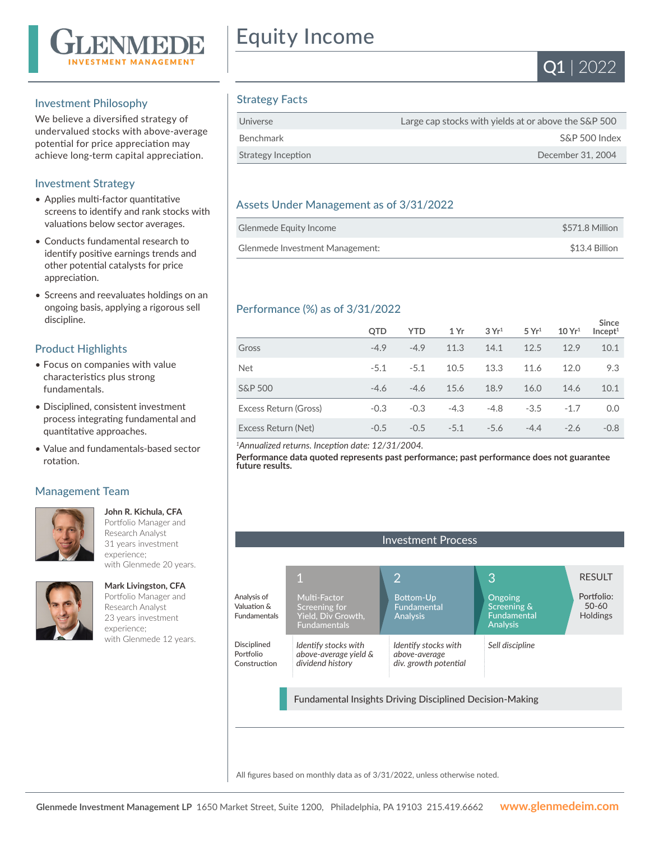

## Investment Philosophy

We believe a diversified strategy of undervalued stocks with above-average potential for price appreciation may achieve long-term capital appreciation.

# Investment Strategy

- Applies multi-factor quantitative screens to identify and rank stocks with valuations below sector averages.
- Conducts fundamental research to identify positive earnings trends and other potential catalysts for price appreciation.
- Screens and reevaluates holdings on an ongoing basis, applying a rigorous sell discipline.

## Product Highlights

- Focus on companies with value characteristics plus strong fundamentals.
- Disciplined, consistent investment process integrating fundamental and quantitative approaches.
- Value and fundamentals-based sector rotation.

## Management Team



**John R. Kichula, CFA**  Portfolio Manager and Research Analyst 31 years investment experience; with Glenmede 20 years.



**Mark Livingston, CFA** Portfolio Manager and Research Analyst 23 years investment experience; with Glenmede 12 years.

# Equity Income



# Strategy Facts

| Universe           | Large cap stocks with yields at or above the S&P 500 |
|--------------------|------------------------------------------------------|
| Benchmark          | S&P 500 Index                                        |
| Strategy Inception | December 31, 2004                                    |

# Assets Under Management as of 3/31/2022

| Glenmede Equity Income          | \$571.8 Million |
|---------------------------------|-----------------|
| Glenmede Investment Management: | \$13.4 Billion  |

# Performance (%) as of 3/31/2022

|                       | <b>OTD</b> | <b>YTD</b> | 1 Yr   | 3Yr <sup>1</sup> | 5 Yr <sup>1</sup> | 10 Yr <sup>1</sup> | <b>Since</b><br>Incept <sup>1</sup> |
|-----------------------|------------|------------|--------|------------------|-------------------|--------------------|-------------------------------------|
| Gross                 | $-4.9$     | $-4.9$     | 11.3   | 14.1             | 12.5              | 12.9               | 10.1                                |
| <b>Net</b>            | $-5.1$     | $-5.1$     | 10.5   | 13.3             | 11.6              | 12.0               | 9.3                                 |
| <b>S&amp;P 500</b>    | $-4.6$     | $-4.6$     | 15.6   | 18.9             | 16.0              | 14.6               | 10.1                                |
| Excess Return (Gross) | $-0.3$     | $-0.3$     | $-4.3$ | $-4.8$           | $-3.5$            | $-1.7$             | 0.0                                 |
| Excess Return (Net)   | $-0.5$     | $-0.5$     | $-5.1$ | $-5.6$           | $-4.4$            | $-2.6$             | $-0.8$                              |

*<sup>1</sup>Annualized returns. Inception date: 12/31/2004.*

**Performance data quoted represents past performance; past performance does not guarantee future results.**



All figures based on monthly data as of 3/31/2022, unless otherwise noted.